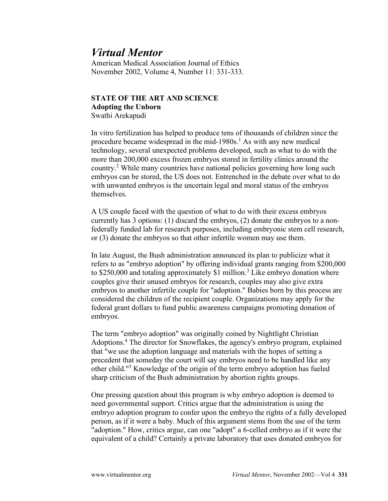## *Virtual Mentor*

American Medical Association Journal of Ethics November 2002, Volume 4, Number 11: 331-333.

## **STATE OF THE ART AND SCIENCE Adopting the Unborn**

Swathi Arekapudi

In vitro fertilization has helped to produce tens of thousands of children since the procedure became widespread in the mid-1980s.<sup>1</sup> As with any new medical technology, several unexpected problems developed, such as what to do with the more than 200,000 excess frozen embryos stored in fertility clinics around the country.<sup>2</sup> While many countries have national policies governing how long such embryos can be stored, the US does not. Entrenched in the debate over what to do with unwanted embryos is the uncertain legal and moral status of the embryos themselves.

A US couple faced with the question of what to do with their excess embryos currently has 3 options: (1) discard the embryos, (2) donate the embryos to a nonfederally funded lab for research purposes, including embryonic stem cell research, or (3) donate the embryos so that other infertile women may use them.

In late August, the Bush administration announced its plan to publicize what it refers to as "embryo adoption" by offering individual grants ranging from \$200,000 to  $$250,000$  and totaling approximately  $$1$  million.<sup>3</sup> Like embryo donation where couples give their unused embryos for research, couples may also give extra embryos to another infertile couple for "adoption." Babies born by this process are considered the children of the recipient couple. Organizations may apply for the federal grant dollars to fund public awareness campaigns promoting donation of embryos.

The term "embryo adoption" was originally coined by Nightlight Christian Adoptions.<sup>4</sup> The director for Snowflakes, the agency's embryo program, explained that "we use the adoption language and materials with the hopes of setting a precedent that someday the court will say embryos need to be handled like any other child."<sup>5</sup> Knowledge of the origin of the term embryo adoption has fueled sharp criticism of the Bush administration by abortion rights groups.

One pressing question about this program is why embryo adoption is deemed to need governmental support. Critics argue that the administration is using the embryo adoption program to confer upon the embryo the rights of a fully developed person, as if it were a baby. Much of this argument stems from the use of the term "adoption." How, critics argue, can one "adopt" a 6-celled embryo as if it were the equivalent of a child? Certainly a private laboratory that uses donated embryos for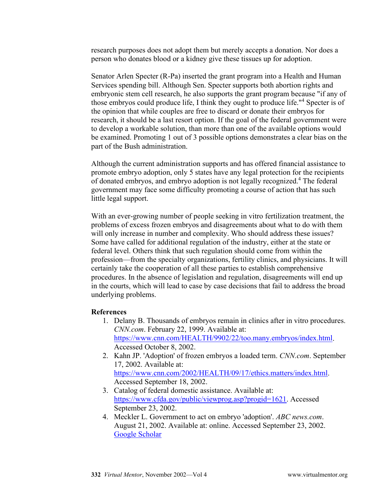research purposes does not adopt them but merely accepts a donation. Nor does a person who donates blood or a kidney give these tissues up for adoption.

Senator Arlen Specter (R-Pa) inserted the grant program into a Health and Human Services spending bill. Although Sen. Specter supports both abortion rights and embryonic stem cell research, he also supports the grant program because "if any of those embryos could produce life, I think they ought to produce life."<sup>4</sup> Specter is of the opinion that while couples are free to discard or donate their embryos for research, it should be a last resort option. If the goal of the federal government were to develop a workable solution, than more than one of the available options would be examined. Promoting 1 out of 3 possible options demonstrates a clear bias on the part of the Bush administration.

Although the current administration supports and has offered financial assistance to promote embryo adoption, only 5 states have any legal protection for the recipients of donated embryos, and embryo adoption is not legally recognized.4 The federal government may face some difficulty promoting a course of action that has such little legal support.

With an ever-growing number of people seeking in vitro fertilization treatment, the problems of excess frozen embryos and disagreements about what to do with them will only increase in number and complexity. Who should address these issues? Some have called for additional regulation of the industry, either at the state or federal level. Others think that such regulation should come from within the profession—from the specialty organizations, fertility clinics, and physicians. It will certainly take the cooperation of all these parties to establish comprehensive procedures. In the absence of legislation and regulation, disagreements will end up in the courts, which will lead to case by case decisions that fail to address the broad underlying problems.

## **References**

- 1. Delany B. Thousands of embryos remain in clinics after in vitro procedures. *CNN.com*. February 22, 1999. Available at: [https://www.cnn.com/HEALTH/9902/22/too.many.embryos/index.html.](https://www.cnn.com/HEALTH/9902/22/too.many.embryos/index.html) Accessed October 8, 2002.
- 2. Kahn JP. 'Adoption' of frozen embryos a loaded term. *CNN.com*. September 17, 2002. Available at: [https://www.cnn.com/2002/HEALTH/09/17/ethics.matters/index.html.](https://www.cnn.com/2002/HEALTH/09/17/ethics.matters/index.html) Accessed September 18, 2002.
- 3. Catalog of federal domestic assistance. Available at: [https://www.cfda.gov/public/viewprog.asp?progid=1621.](https://www.cfda.gov/public/viewprog.asp?progid=1621) Accessed September 23, 2002.
- 4. Meckler L. Government to act on embryo 'adoption'. *ABC news.com*. August 21, 2002. Available at: online. Accessed September 23, 2002. [Google Scholar](https://scholar.google.com/scholar_lookup?title=Government%20to%20act%20on%20embryo%20%27adoption%27&author=Meckler%20L&publication_year=2002)